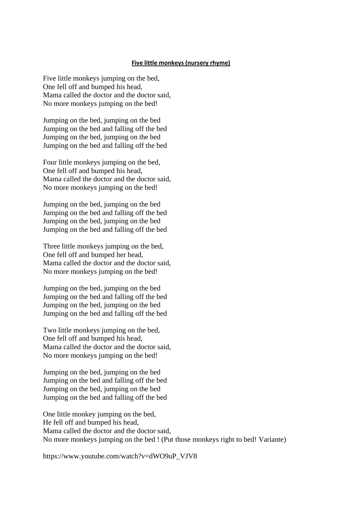## **Five little monkeys (nursery rhyme)**

Five little monkeys jumping on the bed, One fell off and bumped his head, Mama called the doctor and the doctor said, No more monkeys jumping on the bed!

Jumping on the bed, jumping on the bed Jumping on the bed and falling off the bed Jumping on the bed, jumping on the bed Jumping on the bed and falling off the bed

Four little monkeys jumping on the bed, One fell off and bumped his head, Mama called the doctor and the doctor said, No more monkeys jumping on the bed!

Jumping on the bed, jumping on the bed Jumping on the bed and falling off the bed Jumping on the bed, jumping on the bed Jumping on the bed and falling off the bed

Three little monkeys jumping on the bed, One fell off and bumped her head, Mama called the doctor and the doctor said, No more monkeys jumping on the bed!

Jumping on the bed, jumping on the bed Jumping on the bed and falling off the bed Jumping on the bed, jumping on the bed Jumping on the bed and falling off the bed

Two little monkeys jumping on the bed, One fell off and bumped his head, Mama called the doctor and the doctor said, No more monkeys jumping on the bed!

Jumping on the bed, jumping on the bed Jumping on the bed and falling off the bed Jumping on the bed, jumping on the bed Jumping on the bed and falling off the bed

One little monkey jumping on the bed, He fell off and bumped his head, Mama called the doctor and the doctor said, No more monkeys jumping on the bed ! (Put those monkeys right to bed! Variante)

https://www.youtube.com/watch?v=dWO9uP\_VJV8